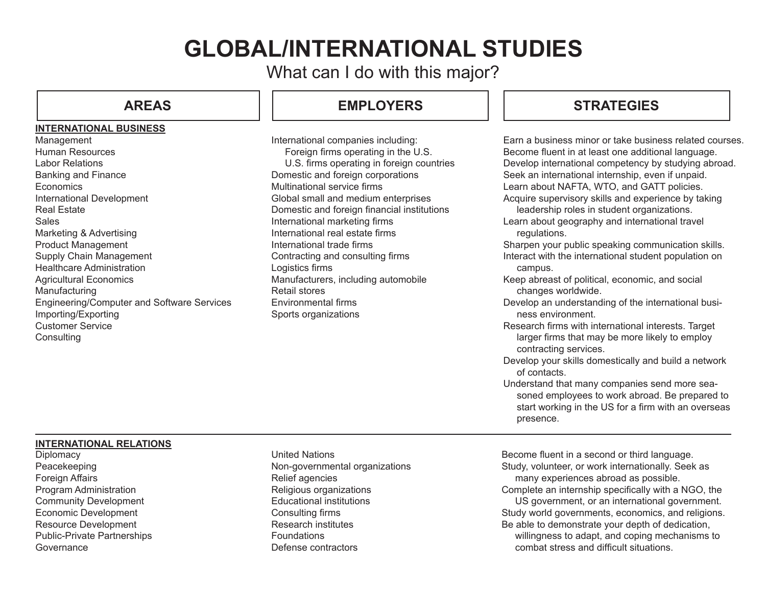# **GLOBAL/INTERNATIONAL STUDIES**

What can I do with this major?

### **INTERNATIONAL BUSINESS**

Management Human Resources Labor Relations Banking and Finance Economics International Development Real Estate **Sales** Marketing & Advertising Product Management Supply Chain Management Healthcare Administration Agricultural Economics Manufacturing Engineering/Computer and Software Services Importing/Exporting Customer Service **Consulting** 

## **AREAS EMPLOYERS**

International companies including: Foreign firms operating in the U.S. U.S. firms operating in foreign countries Domestic and foreign corporations Multinational service firms Global small and medium enterprises Domestic and foreign financial institutions International marketing firms International real estate firms International trade firms Contracting and consulting firms Logistics firms Manufacturers, including automobile Retail stores Environmental firms Sports organizations

## **STRATEGIES**

| Earn a business minor or take business related courses.<br>Become fluent in at least one additional language.<br>Develop international competency by studying abroad.<br>Seek an international internship, even if unpaid.<br>Learn about NAFTA, WTO, and GATT policies.<br>Acquire supervisory skills and experience by taking<br>leadership roles in student organizations.<br>Learn about geography and international travel<br>regulations.<br>Sharpen your public speaking communication skills.<br>Interact with the international student population on<br>campus.<br>Keep abreast of political, economic, and social<br>changes worldwide.<br>Develop an understanding of the international busi- |
|-----------------------------------------------------------------------------------------------------------------------------------------------------------------------------------------------------------------------------------------------------------------------------------------------------------------------------------------------------------------------------------------------------------------------------------------------------------------------------------------------------------------------------------------------------------------------------------------------------------------------------------------------------------------------------------------------------------|
| ness environment.                                                                                                                                                                                                                                                                                                                                                                                                                                                                                                                                                                                                                                                                                         |
| Research firms with international interests. Target<br>larger firms that may be more likely to employ<br>contracting services.                                                                                                                                                                                                                                                                                                                                                                                                                                                                                                                                                                            |
| Develop your skills domestically and build a network<br>of contacts.                                                                                                                                                                                                                                                                                                                                                                                                                                                                                                                                                                                                                                      |
| Understand that many companies send more sea-<br>soned employees to work abroad. Be prepared to<br>start working in the US for a firm with an overseas<br>presence.                                                                                                                                                                                                                                                                                                                                                                                                                                                                                                                                       |

### **INTERNATIONAL RELATIONS**

**Diplomacy** Peacekeeping Foreign Affairs Program Administration Community Development Economic Development Resource Development Public-Private Partnerships **Governance** 

United Nations Non-governmental organizations Relief agencies Religious organizations Educational institutions Consulting firms Research institutes Foundations Defense contractors

Become fluent in a second or third language. Study, volunteer, or work internationally. Seek as many experiences abroad as possible.

Complete an internship specifically with a NGO, the

 US government, or an international government. Study world governments, economics, and religions. Be able to demonstrate your depth of dedication,

willingness to adapt, and coping mechanisms to combat stress and difficult situations.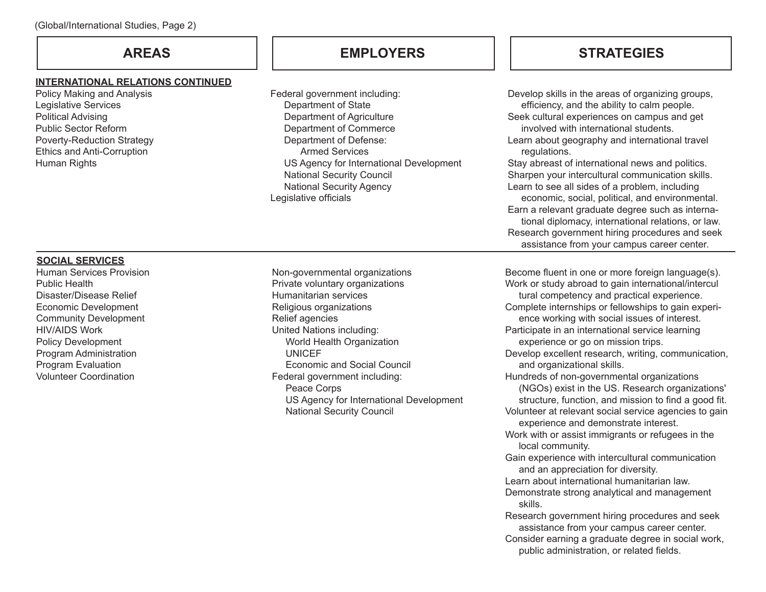### **INTERNATIONAL RELATIONS CONTINUED**

Policy Making and Analysis Legislative Services Political Advising Public Sector Reform Poverty-Reduction Strategy Ethics and Anti-Corruption Human Rights

Federal government including: Department of State Department of Agriculture Department of Commerce Department of Defense: Armed Services US Agency for International Development National Security Council National Security Agency Legislative officials

## **AREAS EMPLOYERS STRATEGIES**

Develop skills in the areas of organizing groups, efficiency, and the ability to calm people. Seek cultural experiences on campus and get involved with international students. Learn about geography and international travel regulations. Stay abreast of international news and politics. Sharpen your intercultural communication skills. Learn to see all sides of a problem, including economic, social, political, and environmental. Earn a relevant graduate degree such as interna- tional diplomacy, international relations, or law. Research government hiring procedures and seek assistance from your campus career center.

## **SOCIAL SERVICES**

Human Services Provision Public Health Disaster/Disease Relief Economic Development Community Development HIV/AIDS Work Policy Development Program Administration Program Evaluation Volunteer Coordination

Non-governmental organizations Private voluntary organizations Humanitarian services Religious organizations Relief agencies United Nations including: World Health Organization UNICEF Economic and Social Council Federal government including: Peace Corps US Agency for International Development National Security Council

Become fluent in one or more foreign language(s). Work or study abroad to gain international/intercul tural competency and practical experience. Complete internships or fellowships to gain experi- ence working with social issues of interest. Participate in an international service learning experience or go on mission trips. Develop excellent research, writing, communication, and organizational skills. Hundreds of non-governmental organizations (NGOs) exist in the US. Research organizations' structure, function, and mission to find a good fit. Volunteer at relevant social service agencies to gain experience and demonstrate interest. Work with or assist immigrants or refugees in the local community. Gain experience with intercultural communication and an appreciation for diversity. Learn about international humanitarian law. Demonstrate strong analytical and management skills. Research government hiring procedures and seek assistance from your campus career center. Consider earning a graduate degree in social work, public administration, or related fields.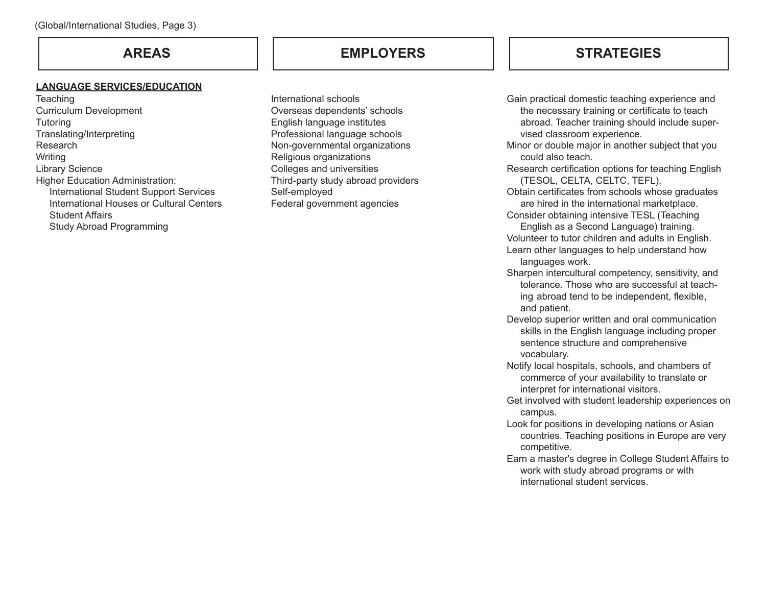### **LANGUAGE SERVICES/EDUCATION**

**Teaching** Curriculum Development **Tutoring** Translating/Interpreting Research **Writing** Library Science Higher Education Administration: International Student Support Services International Houses or Cultural Centers Student Affairs Study Abroad Programming

## **AREAS EMPLOYERS**

International schools Overseas dependents' schools English language institutes Professional language schools Non-governmental organizations Religious organizations Colleges and universities Third-party study abroad providers Self-employed Federal government agencies

## **STRATEGIES**

Gain practical domestic teaching experience and the necessary training or certificate to teach abroad. Teacher training should include super- vised classroom experience.

Minor or double major in another subject that you could also teach.

- Research certification options for teaching English (TESOL, CELTA, CELTC, TEFL).
- Obtain certificates from schools whose graduates are hired in the international marketplace.
- Consider obtaining intensive TESL (Teaching English as a Second Language) training.
- Volunteer to tutor children and adults in English. Learn other languages to help understand how
	- languages work.
- Sharpen intercultural competency, sensitivity, and tolerance. Those who are successful at teach ing abroad tend to be independent, flexible, and patient.
- Develop superior written and oral communication skills in the English language including proper sentence structure and comprehensive vocabulary.
- Notify local hospitals, schools, and chambers of commerce of your availability to translate or interpret for international visitors.
- Get involved with student leadership experiences on campus.
- Look for positions in developing nations or Asian countries. Teaching positions in Europe are very competitive.
- Earn a master's degree in College Student Affairs to work with study abroad programs or with international student services.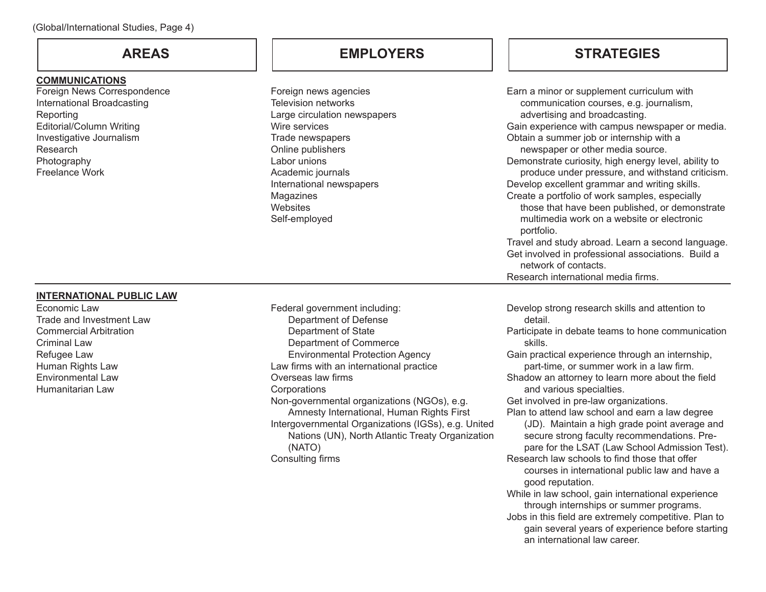### **COMMUNICATIONS**

Foreign News Correspondence International Broadcasting Reporting Editorial/Column Writing Investigative Journalism Research Photography Freelance Work

## **AREAS EMPLOYERS STRATEGIES**

Foreign news agencies Television networks Large circulation newspapers Wire services Trade newspapers Online publishers Labor unions Academic journals International newspapers Magazines **Websites** Self-employed

| Earn a minor or supplement curriculum with           |
|------------------------------------------------------|
| communication courses, e.g. journalism,              |
| advertising and broadcasting.                        |
| Gain experience with campus newspaper or media.      |
| Obtain a summer job or internship with a             |
| newspaper or other media source.                     |
| Demonstrate curiosity, high energy level, ability to |
| produce under pressure, and withstand criticism.     |
| Develop excellent grammar and writing skills.        |
| Create a portfolio of work samples, especially       |
| those that have been published, or demonstrate       |
| multimedia work on a website or electronic           |
| portfolio.                                           |
| Travel and study abroad. Learn a second language.    |
| Get involved in professional associations. Build a   |
| network of contacts.                                 |
| Research international media firms.                  |
|                                                      |

### **INTERNATIONAL PUBLIC LAW**

Economic Law Trade and Investment Law Commercial Arbitration Criminal Law Refugee Law Human Rights Law Environmental Law Humanitarian Law

Federal government including: Department of Defense Department of State Department of Commerce Environmental Protection Agency Law firms with an international practice Overseas law firms **Corporations** Non-governmental organizations (NGOs), e.g. Amnesty International, Human Rights First Intergovernmental Organizations (IGSs), e.g. United Nations (UN), North Atlantic Treaty Organization (NATO) Consulting firms

Develop strong research skills and attention to detail.

Participate in debate teams to hone communication skills.

Gain practical experience through an internship, part-time, or summer work in a law firm.

Shadow an attorney to learn more about the field and various specialties.

Get involved in pre-law organizations.

Plan to attend law school and earn a law degree

(JD). Maintain a high grade point average and secure strong faculty recommendations. Prepare for the LSAT (Law School Admission Test).

Research law schools to find those that offer courses in international public law and have a

good reputation. While in law school, gain international experience through internships or summer programs.

Jobs in this field are extremely competitive. Plan to gain several years of experience before starting an international law career.